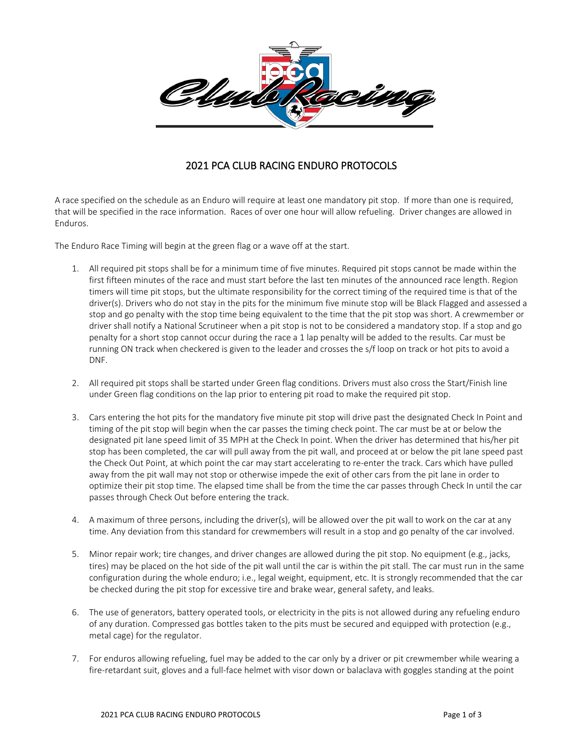

## 2021 PCA CLUB RACING ENDURO PROTOCOLS

A race specified on the schedule as an Enduro will require at least one mandatory pit stop. If more than one is required, that will be specified in the race information. Races of over one hour will allow refueling. Driver changes are allowed in Enduros.

The Enduro Race Timing will begin at the green flag or a wave off at the start.

- 1. All required pit stops shall be for a minimum time of five minutes. Required pit stops cannot be made within the first fifteen minutes of the race and must start before the last ten minutes of the announced race length. Region timers will time pit stops, but the ultimate responsibility for the correct timing of the required time is that of the driver(s). Drivers who do not stay in the pits for the minimum five minute stop will be Black Flagged and assessed a stop and go penalty with the stop time being equivalent to the time that the pit stop was short. A crewmember or driver shall notify a National Scrutineer when a pit stop is not to be considered a mandatory stop. If a stop and go penalty for a short stop cannot occur during the race a 1 lap penalty will be added to the results. Car must be running ON track when checkered is given to the leader and crosses the s/f loop on track or hot pits to avoid a DNF.
- 2. All required pit stops shall be started under Green flag conditions. Drivers must also cross the Start/Finish line under Green flag conditions on the lap prior to entering pit road to make the required pit stop.
- 3. Cars entering the hot pits for the mandatory five minute pit stop will drive past the designated Check In Point and timing of the pit stop will begin when the car passes the timing check point. The car must be at or below the designated pit lane speed limit of 35 MPH at the Check In point. When the driver has determined that his/her pit stop has been completed, the car will pull away from the pit wall, and proceed at or below the pit lane speed past the Check Out Point, at which point the car may start accelerating to re-enter the track. Cars which have pulled away from the pit wall may not stop or otherwise impede the exit of other cars from the pit lane in order to optimize their pit stop time. The elapsed time shall be from the time the car passes through Check In until the car passes through Check Out before entering the track.
- 4. A maximum of three persons, including the driver(s), will be allowed over the pit wall to work on the car at any time. Any deviation from this standard for crewmembers will result in a stop and go penalty of the car involved.
- 5. Minor repair work; tire changes, and driver changes are allowed during the pit stop. No equipment (e.g., jacks, tires) may be placed on the hot side of the pit wall until the car is within the pit stall. The car must run in the same configuration during the whole enduro; i.e., legal weight, equipment, etc. It is strongly recommended that the car be checked during the pit stop for excessive tire and brake wear, general safety, and leaks.
- 6. The use of generators, battery operated tools, or electricity in the pits is not allowed during any refueling enduro of any duration. Compressed gas bottles taken to the pits must be secured and equipped with protection (e.g., metal cage) for the regulator.
- 7. For enduros allowing refueling, fuel may be added to the car only by a driver or pit crewmember while wearing a fire-retardant suit, gloves and a full-face helmet with visor down or balaclava with goggles standing at the point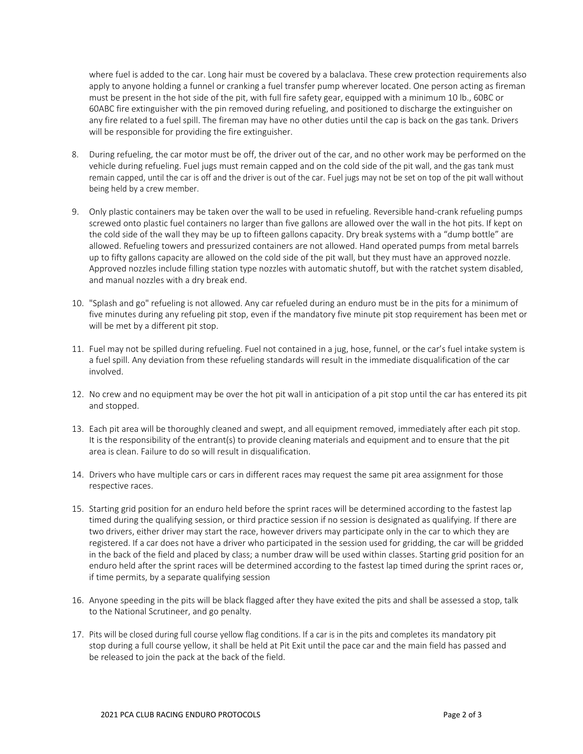where fuel is added to the car. Long hair must be covered by a balaclava. These crew protection requirements also apply to anyone holding a funnel or cranking a fuel transfer pump wherever located. One person acting as fireman must be present in the hot side of the pit, with full fire safety gear, equipped with a minimum 10 lb., 60BC or 60ABC fire extinguisher with the pin removed during refueling, and positioned to discharge the extinguisher on any fire related to a fuel spill. The fireman may have no other duties until the cap is back on the gas tank. Drivers will be responsible for providing the fire extinguisher.

- 8. During refueling, the car motor must be off, the driver out of the car, and no other work may be performed on the vehicle during refueling. Fuel jugs must remain capped and on the cold side of the pit wall, and the gas tank must remain capped, until the car is off and the driver is out of the car. Fuel jugs may not be set on top of the pit wall without being held by a crew member.
- 9. Only plastic containers may be taken over the wall to be used in refueling. Reversible hand-crank refueling pumps screwed onto plastic fuel containers no larger than five gallons are allowed over the wall in the hot pits. If kept on the cold side of the wall they may be up to fifteen gallons capacity. Dry break systems with a "dump bottle" are allowed. Refueling towers and pressurized containers are not allowed. Hand operated pumps from metal barrels up to fifty gallons capacity are allowed on the cold side of the pit wall, but they must have an approved nozzle. Approved nozzles include filling station type nozzles with automatic shutoff, but with the ratchet system disabled, and manual nozzles with a dry break end.
- 10. "Splash and go" refueling is not allowed. Any car refueled during an enduro must be in the pits for a minimum of five minutes during any refueling pit stop, even if the mandatory five minute pit stop requirement has been met or will be met by a different pit stop.
- 11. Fuel may not be spilled during refueling. Fuel not contained in a jug, hose, funnel, or the car's fuel intake system is a fuel spill. Any deviation from these refueling standards will result in the immediate disqualification of the car involved.
- 12. No crew and no equipment may be over the hot pit wall in anticipation of a pit stop until the car has entered its pit and stopped.
- 13. Each pit area will be thoroughly cleaned and swept, and all equipment removed, immediately after each pit stop. It is the responsibility of the entrant(s) to provide cleaning materials and equipment and to ensure that the pit area is clean. Failure to do so will result in disqualification.
- 14. Drivers who have multiple cars or cars in different races may request the same pit area assignment for those respective races.
- 15. Starting grid position for an enduro held before the sprint races will be determined according to the fastest lap timed during the qualifying session, or third practice session if no session is designated as qualifying. If there are two drivers, either driver may start the race, however drivers may participate only in the car to which they are registered. If a car does not have a driver who participated in the session used for gridding, the car will be gridded in the back of the field and placed by class; a number draw will be used within classes. Starting grid position for an enduro held after the sprint races will be determined according to the fastest lap timed during the sprint races or, if time permits, by a separate qualifying session
- 16. Anyone speeding in the pits will be black flagged after they have exited the pits and shall be assessed a stop, talk to the National Scrutineer, and go penalty.
- 17. Pits will be closed during full course yellow flag conditions. If a car is in the pits and completes its mandatory pit stop during a full course yellow, it shall be held at Pit Exit until the pace car and the main field has passed and be released to join the pack at the back of the field.